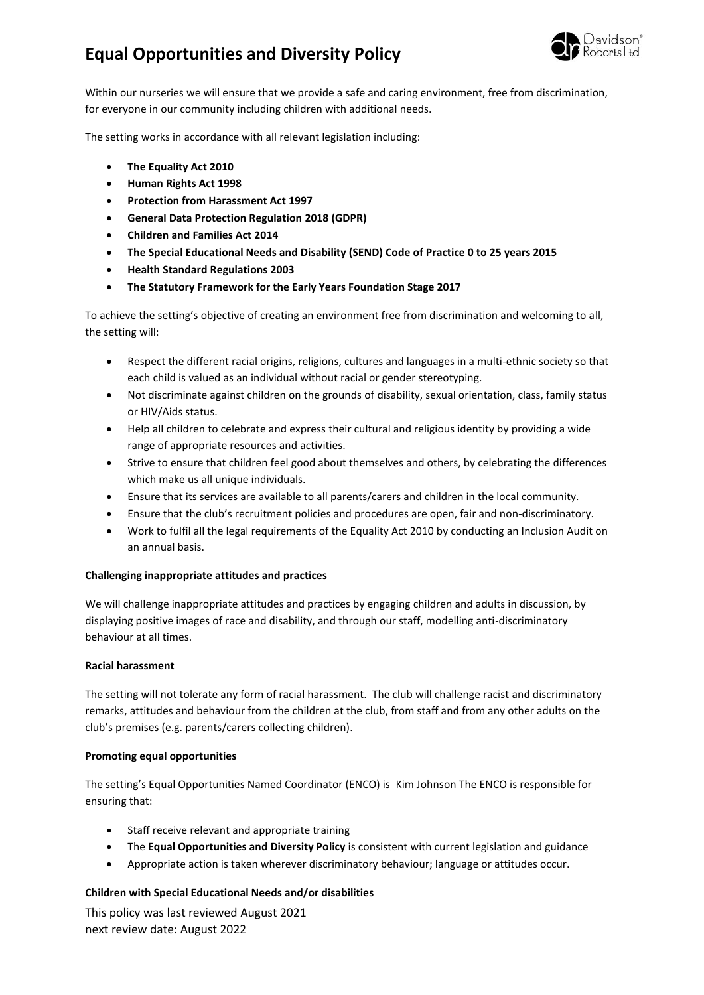## **Equal Opportunities and Diversity Policy**



Within our nurseries we will ensure that we provide a safe and caring environment, free from discrimination, for everyone in our community including children with additional needs.

The setting works in accordance with all relevant legislation including:

- **The Equality Act 2010**
- **Human Rights Act 1998**
- **Protection from Harassment Act 1997**
- **General Data Protection Regulation 2018 (GDPR)**
- **Children and Families Act 2014**
- **The Special Educational Needs and Disability (SEND) Code of Practice 0 to 25 years 2015**
- **Health Standard Regulations 2003**
- **The Statutory Framework for the Early Years Foundation Stage 2017**

To achieve the setting's objective of creating an environment free from discrimination and welcoming to all, the setting will:

- Respect the different racial origins, religions, cultures and languages in a multi-ethnic society so that each child is valued as an individual without racial or gender stereotyping.
- Not discriminate against children on the grounds of disability, sexual orientation, class, family status or HIV/Aids status.
- Help all children to celebrate and express their cultural and religious identity by providing a wide range of appropriate resources and activities.
- Strive to ensure that children feel good about themselves and others, by celebrating the differences which make us all unique individuals.
- Ensure that its services are available to all parents/carers and children in the local community.
- Ensure that the club's recruitment policies and procedures are open, fair and non-discriminatory.
- Work to fulfil all the legal requirements of the Equality Act 2010 by conducting an Inclusion Audit on an annual basis.

#### **Challenging inappropriate attitudes and practices**

We will challenge inappropriate attitudes and practices by engaging children and adults in discussion, by displaying positive images of race and disability, and through our staff, modelling anti-discriminatory behaviour at all times.

#### **Racial harassment**

The setting will not tolerate any form of racial harassment. The club will challenge racist and discriminatory remarks, attitudes and behaviour from the children at the club, from staff and from any other adults on the club's premises (e.g. parents/carers collecting children).

#### **Promoting equal opportunities**

The setting's Equal Opportunities Named Coordinator (ENCO) is Kim Johnson The ENCO is responsible for ensuring that:

- Staff receive relevant and appropriate training
- The **Equal Opportunities and Diversity Policy** is consistent with current legislation and guidance
- Appropriate action is taken wherever discriminatory behaviour; language or attitudes occur.

### **Children with Special Educational Needs and/or disabilities**

This policy was last reviewed August 2021 next review date: August 2022